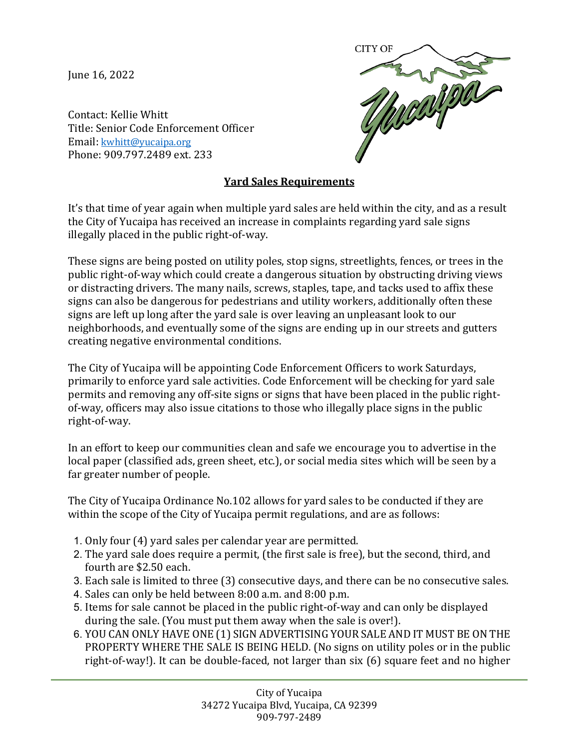June 16, 2022



Contact: Kellie Whitt Title: Senior Code Enforcement Officer Email: [kwhitt@yucaipa.org](mailto:kwhitt@yucaipa.org) Phone: 909.797.2489 ext. 233

## **Yard Sales Requirements**

It's that time of year again when multiple yard sales are held within the city, and as a result the City of Yucaipa has received an increase in complaints regarding yard sale signs illegally placed in the public right-of-way.

These signs are being posted on utility poles, stop signs, streetlights, fences, or trees in the public right-of-way which could create a dangerous situation by obstructing driving views or distracting drivers. The many nails, screws, staples, tape, and tacks used to affix these signs can also be dangerous for pedestrians and utility workers, additionally often these signs are left up long after the yard sale is over leaving an unpleasant look to our neighborhoods, and eventually some of the signs are ending up in our streets and gutters creating negative environmental conditions.

The City of Yucaipa will be appointing Code Enforcement Officers to work Saturdays, primarily to enforce yard sale activities. Code Enforcement will be checking for yard sale permits and removing any off-site signs or signs that have been placed in the public rightof-way, officers may also issue citations to those who illegally place signs in the public right-of-way.

In an effort to keep our communities clean and safe we encourage you to advertise in the local paper (classified ads, green sheet, etc.), or social media sites which will be seen by a far greater number of people.

The City of Yucaipa Ordinance No.102 allows for yard sales to be conducted if they are within the scope of the City of Yucaipa permit regulations, and are as follows:

- 1. Only four (4) yard sales per calendar year are permitted.
- 2. The yard sale does require a permit, (the first sale is free), but the second, third, and fourth are \$2.50 each.
- 3. Each sale is limited to three (3) consecutive days, and there can be no consecutive sales.
- 4. Sales can only be held between 8:00 a.m. and 8:00 p.m.
- 5. Items for sale cannot be placed in the public right-of-way and can only be displayed during the sale. (You must put them away when the sale is over!).
- 6. YOU CAN ONLY HAVE ONE (1) SIGN ADVERTISING YOUR SALE AND IT MUST BE ON THE PROPERTY WHERE THE SALE IS BEING HELD. (No signs on utility poles or in the public right-of-way!). It can be double-faced, not larger than six (6) square feet and no higher